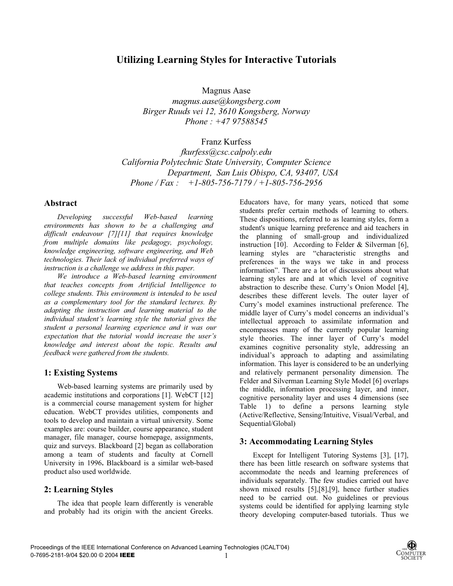# **Utilizing Learning Styles for Interactive Tutorials**

Magnus Aase

*magnus.aase@kongsberg.com Birger Ruuds vei 12, 3610 Kongsberg, Norway Phone : +47 97588545* 

Franz Kurfess

*fkurfess@csc.calpoly.edu California Polytechnic State University, Computer Science Department, San Luis Obispo, CA, 93407, USA Phone / Fax : +1-805-756-7179 / +1-805-756-2956* 

### **Abstract**

*Developing successful Web-based learning environments has shown to be a challenging and difficult endeavour [7][11] that requires knowledge from multiple domains like pedagogy, psychology, knowledge engineering, software engineering, and Web technologies. Their lack of individual preferred ways of instruction is a challenge we address in this paper.* 

 *We introduce a Web-based learning environment that teaches concepts from Artificial Intelligence to college students. This environment is intended to be used as a complementary tool for the standard lectures. By adapting the instruction and learning material to the individual student's learning style the tutorial gives the student a personal learning experience and it was our expectation that the tutorial would increase the user's knowledge and interest about the topic. Results and feedback were gathered from the students.* 

## **1: Existing Systems**

Web-based learning systems are primarily used by academic institutions and corporations [1]. WebCT [12] is a commercial course management system for higher education. WebCT provides utilities, components and tools to develop and maintain a virtual university. Some examples are: course builder, course appearance, student manager, file manager, course homepage, assignments, quiz and surveys. Blackboard [2] began as collaboration among a team of students and faculty at Cornell University in 1996**.** Blackboard is a similar web-based product also used worldwide.

## **2: Learning Styles**

The idea that people learn differently is venerable and probably had its origin with the ancient Greeks.

Educators have, for many years, noticed that some students prefer certain methods of learning to others. These dispositions, referred to as learning styles, form a student's unique learning preference and aid teachers in the planning of small-group and individualized instruction [10]. According to Felder & Silverman [6], learning styles are "characteristic strengths and preferences in the ways we take in and process information". There are a lot of discussions about what learning styles are and at which level of cognitive abstraction to describe these. Curry's Onion Model [4], describes these different levels. The outer layer of Curry's model examines instructional preference. The middle layer of Curry's model concerns an individual's intellectual approach to assimilate information and encompasses many of the currently popular learning style theories. The inner layer of Curry's model examines cognitive personality style, addressing an individual's approach to adapting and assimilating information. This layer is considered to be an underlying and relatively permanent personality dimension. The Felder and Silverman Learning Style Model [6] overlaps the middle, information processing layer, and inner, cognitive personality layer and uses 4 dimensions (see Table 1) to define a persons learning style (Active/Reflective, Sensing/Intuitive, Visual/Verbal, and Sequential/Global)

## **3: Accommodating Learning Styles**

Except for Intelligent Tutoring Systems [3], [17], there has been little research on software systems that accommodate the needs and learning preferences of individuals separately. The few studies carried out have shown mixed results [5],[8],[9], hence further studies need to be carried out. No guidelines or previous systems could be identified for applying learning style theory developing computer-based tutorials. Thus we

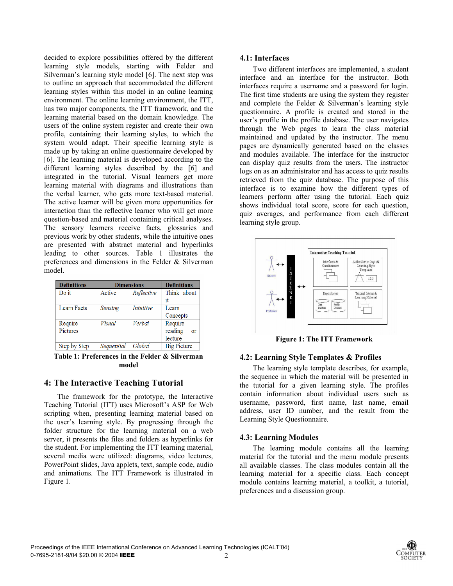decided to explore possibilities offered by the different learning style models, starting with Felder and Silverman's learning style model [6]. The next step was to outline an approach that accommodated the different learning styles within this model in an online learning environment. The online learning environment, the ITT, has two major components, the ITT framework, and the learning material based on the domain knowledge. The users of the online system register and create their own profile, containing their learning styles, to which the system would adapt. Their specific learning style is made up by taking an online questionnaire developed by [6]. The learning material is developed according to the different learning styles described by the [6] and integrated in the tutorial. Visual learners get more learning material with diagrams and illustrations than the verbal learner, who gets more text-based material. The active learner will be given more opportunities for interaction than the reflective learner who will get more question-based and material containing critical analyses. The sensory learners receive facts, glossaries and previous work by other students, while the intuitive ones are presented with abstract material and hyperlinks leading to other sources. Table 1 illustrates the preferences and dimensions in the Felder & Silverman model.

| <b>Definitions</b> | <b>Dimensions</b> |                  | <b>Definitions</b>   |
|--------------------|-------------------|------------------|----------------------|
| Do it              | Active            | Reflective       | Think about          |
|                    |                   |                  |                      |
| Learn Facts        | Sensing           | <i>Intuitive</i> | Learn                |
|                    |                   |                  | Concepts             |
| Require            | Visual            | Verbal           | Require              |
| Pictures           |                   |                  | reading<br><b>or</b> |
|                    |                   |                  | lecture              |
| Step by Step       | Sequential        | Global           | <b>Big Picture</b>   |

**Table 1: Preferences in the Felder & Silverman model**

### **4: The Interactive Teaching Tutorial**

The framework for the prototype, the Interactive Teaching Tutorial (ITT) uses Microsoft's ASP for Web scripting when, presenting learning material based on the user's learning style. By progressing through the folder structure for the learning material on a web server, it presents the files and folders as hyperlinks for the student. For implementing the ITT learning material, several media were utilized: diagrams, video lectures, PowerPoint slides, Java applets, text, sample code, audio and animations. The ITT Framework is illustrated in Figure 1.

#### **4.1: Interfaces**

Two different interfaces are implemented, a student interface and an interface for the instructor. Both interfaces require a username and a password for login. The first time students are using the system they register and complete the Felder & Silverman's learning style questionnaire. A profile is created and stored in the user's profile in the profile database. The user navigates through the Web pages to learn the class material maintained and updated by the instructor. The menu pages are dynamically generated based on the classes and modules available. The interface for the instructor can display quiz results from the users. The instructor logs on as an administrator and has access to quiz results retrieved from the quiz database. The purpose of this interface is to examine how the different types of learners perform after using the tutorial. Each quiz shows individual total score, score for each question, quiz averages, and performance from each different learning style group.



**Figure 1: The ITT Framework** 

#### **4.2: Learning Style Templates & Profiles**

The learning style template describes, for example, the sequence in which the material will be presented in the tutorial for a given learning style. The profiles contain information about individual users such as username, password, first name, last name, email address, user ID number, and the result from the Learning Style Questionnaire.

#### **4.3: Learning Modules**

The learning module contains all the learning material for the tutorial and the menu module presents all available classes. The class modules contain all the learning material for a specific class. Each concept module contains learning material, a toolkit, a tutorial, preferences and a discussion group.